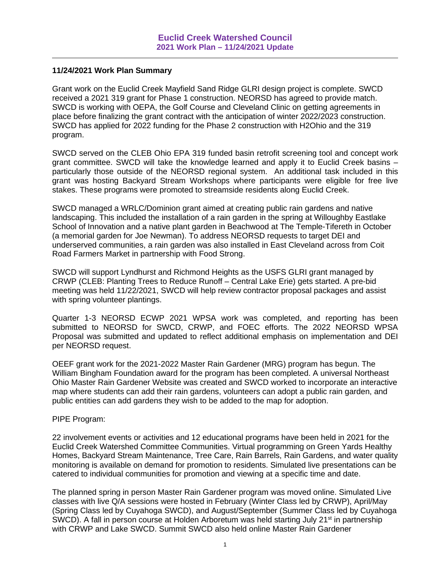### **11/24/2021 Work Plan Summary**

Grant work on the Euclid Creek Mayfield Sand Ridge GLRI design project is complete. SWCD received a 2021 319 grant for Phase 1 construction. NEORSD has agreed to provide match. SWCD is working with OEPA, the Golf Course and Cleveland Clinic on getting agreements in place before finalizing the grant contract with the anticipation of winter 2022/2023 construction. SWCD has applied for 2022 funding for the Phase 2 construction with H2Ohio and the 319 program.

SWCD served on the CLEB Ohio EPA 319 funded basin retrofit screening tool and concept work grant committee. SWCD will take the knowledge learned and apply it to Euclid Creek basins – particularly those outside of the NEORSD regional system. An additional task included in this grant was hosting Backyard Stream Workshops where participants were eligible for free live stakes. These programs were promoted to streamside residents along Euclid Creek.

SWCD managed a WRLC/Dominion grant aimed at creating public rain gardens and native landscaping. This included the installation of a rain garden in the spring at Willoughby Eastlake School of Innovation and a native plant garden in Beachwood at The Temple-Tifereth in October (a memorial garden for Joe Newman). To address NEORSD requests to target DEI and underserved communities, a rain garden was also installed in East Cleveland across from Coit Road Farmers Market in partnership with Food Strong.

SWCD will support Lyndhurst and Richmond Heights as the USFS GLRI grant managed by CRWP (CLEB: Planting Trees to Reduce Runoff – Central Lake Erie) gets started. A pre-bid meeting was held 11/22/2021, SWCD will help review contractor proposal packages and assist with spring volunteer plantings.

Quarter 1-3 NEORSD ECWP 2021 WPSA work was completed, and reporting has been submitted to NEORSD for SWCD, CRWP, and FOEC efforts. The 2022 NEORSD WPSA Proposal was submitted and updated to reflect additional emphasis on implementation and DEI per NEORSD request.

OEEF grant work for the 2021-2022 Master Rain Gardener (MRG) program has begun. The William Bingham Foundation award for the program has been completed. A universal Northeast Ohio Master Rain Gardener Website was created and SWCD worked to incorporate an interactive map where students can add their rain gardens, volunteers can adopt a public rain garden, and public entities can add gardens they wish to be added to the map for adoption.

#### PIPE Program:

22 involvement events or activities and 12 educational programs have been held in 2021 for the Euclid Creek Watershed Committee Communities. Virtual programming on Green Yards Healthy Homes, Backyard Stream Maintenance, Tree Care, Rain Barrels, Rain Gardens, and water quality monitoring is available on demand for promotion to residents. Simulated live presentations can be catered to individual communities for promotion and viewing at a specific time and date.

The planned spring in person Master Rain Gardener program was moved online. Simulated Live classes with live Q/A sessions were hosted in February (Winter Class led by CRWP), April/May (Spring Class led by Cuyahoga SWCD), and August/September (Summer Class led by Cuyahoga SWCD). A fall in person course at Holden Arboretum was held starting July 21<sup>st</sup> in partnership with CRWP and Lake SWCD. Summit SWCD also held online Master Rain Gardener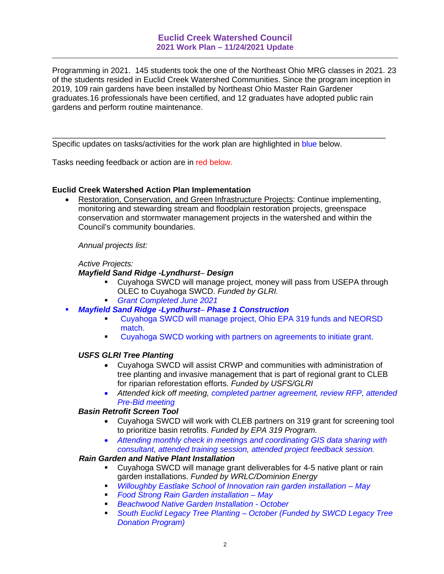Programming in 2021. 145 students took the one of the Northeast Ohio MRG classes in 2021. 23 of the students resided in Euclid Creek Watershed Communities. Since the program inception in 2019, 109 rain gardens have been installed by Northeast Ohio Master Rain Gardener graduates.16 professionals have been certified, and 12 graduates have adopted public rain gardens and perform routine maintenance.

Specific updates on tasks/activities for the work plan are highlighted in blue below.

Tasks needing feedback or action are in red below.

### **Euclid Creek Watershed Action Plan Implementation**

 Restoration, Conservation, and Green Infrastructure Projects: Continue implementing, monitoring and stewarding stream and floodplain restoration projects, greenspace conservation and stormwater management projects in the watershed and within the Council's community boundaries.

*Annual projects list:*

#### *Active Projects:*

#### *Mayfield Sand Ridge -Lyndhurst*– *Design*

- Cuyahoga SWCD will manage project, money will pass from USEPA through OLEC to Cuyahoga SWCD. *Funded by GLRI.*
- *Grant Completed June 2021*
- *Mayfield Sand Ridge -Lyndhurst Phase 1 Construction*
	- Cuyahoga SWCD will manage project, Ohio EPA 319 funds and NEORSD match.
	- **Cuyahoga SWCD working with partners on agreements to initiate grant.**

#### *USFS GLRI Tree Planting*

- Cuyahoga SWCD will assist CRWP and communities with administration of tree planting and invasive management that is part of regional grant to CLEB for riparian reforestation efforts. *Funded by USFS/GLRI*
- *Attended kick off meeting, completed partner agreement, review RFP, attended Pre-Bid meeting*

#### *Basin Retrofit Screen Tool*

- Cuyahoga SWCD will work with CLEB partners on 319 grant for screening tool to prioritize basin retrofits. *Funded by EPA 319 Program.*
- *Attending monthly check in meetings and coordinating GIS data sharing with consultant, attended training session, attended project feedback session.*

### *Rain Garden and Native Plant Installation*

- Cuyahoga SWCD will manage grant deliverables for 4-5 native plant or rain garden installations. *Funded by WRLC/Dominion Energy*
- *Willoughby Eastlake School of Innovation rain garden installation May*
- *Food Strong Rain Garden installation May*
- *Beachwood Native Garden Installation October*
- *South Euclid Legacy Tree Planting October (Funded by SWCD Legacy Tree Donation Program)*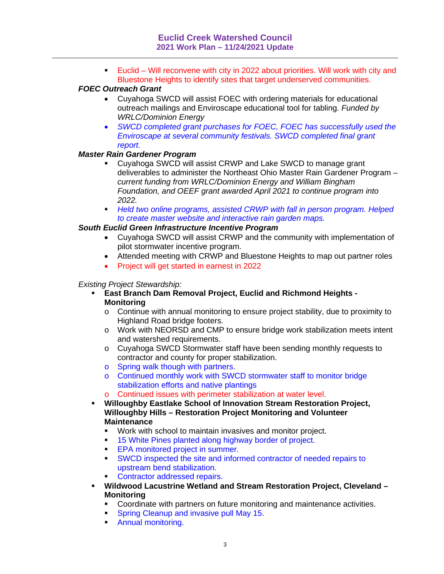Euclid – Will reconvene with city in 2022 about priorities. Will work with city and Bluestone Heights to identify sites that target underserved communities.

## *FOEC Outreach Grant*

- Cuyahoga SWCD will assist FOEC with ordering materials for educational outreach mailings and Enviroscape educational tool for tabling. *Funded by WRLC/Dominion Energy*
- *SWCD completed grant purchases for FOEC, FOEC has successfully used the Enviroscape at several community festivals. SWCD completed final grant report.*

## *Master Rain Gardener Program*

- Cuyahoga SWCD will assist CRWP and Lake SWCD to manage grant deliverables to administer the Northeast Ohio Master Rain Gardener Program – *current funding from WRLC/Dominion Energy and William Bingham Foundation, and OEEF grant awarded April 2021 to continue program into 2022.*
- *Held two online programs, assisted CRWP with fall in person program. Helped to create master website and interactive rain garden maps.*

## *South Euclid Green Infrastructure Incentive Program*

- Cuyahoga SWCD will assist CRWP and the community with implementation of pilot stormwater incentive program.
- Attended meeting with CRWP and Bluestone Heights to map out partner roles
- Project will get started in earnest in 2022

# *Existing Project Stewardship:*

- **East Branch Dam Removal Project, Euclid and Richmond Heights - Monitoring**
	- o Continue with annual monitoring to ensure project stability, due to proximity to Highland Road bridge footers.
	- o Work with NEORSD and CMP to ensure bridge work stabilization meets intent and watershed requirements.
	- o Cuyahoga SWCD Stormwater staff have been sending monthly requests to contractor and county for proper stabilization.
	- o Spring walk though with partners.
	- o Continued monthly work with SWCD stormwater staff to monitor bridge stabilization efforts and native plantings
	- Continued issues with perimeter stabilization at water level.
- **Willoughby Eastlake School of Innovation Stream Restoration Project, Willoughby Hills – Restoration Project Monitoring and Volunteer Maintenance**
	- Work with school to maintain invasives and monitor project.
	- <sup>15</sup> White Pines planted along highway border of project.
	- **EPA monitored project in summer.**
	- SWCD inspected the site and informed contractor of needed repairs to upstream bend stabilization.
	- **Contractor addressed repairs.**
- **Wildwood Lacustrine Wetland and Stream Restoration Project, Cleveland – Monitoring**
	- Coordinate with partners on future monitoring and maintenance activities.
	- **Spring Cleanup and invasive pull May 15.**
	- **Annual monitoring.**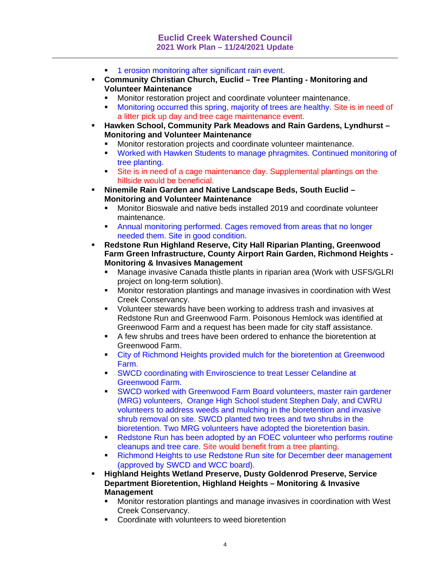- **1** erosion monitoring after significant rain event.
- **Community Christian Church, Euclid Tree Planting Monitoring and Volunteer Maintenance**
	- Monitor restoration project and coordinate volunteer maintenance.
	- Monitoring occurred this spring, majority of trees are healthy. Site is in need of a litter pick up day and tree cage maintenance event.
- **Hawken School, Community Park Meadows and Rain Gardens, Lyndhurst – Monitoring and Volunteer Maintenance**
	- Monitor restoration projects and coordinate volunteer maintenance.
	- Worked with Hawken Students to manage phragmites. Continued monitoring of tree planting.
	- Site is in need of a cage maintenance day. Supplemental plantings on the hillside would be beneficial.
- **Ninemile Rain Garden and Native Landscape Beds, South Euclid – Monitoring and Volunteer Maintenance**
	- Monitor Bioswale and native beds installed 2019 and coordinate volunteer maintenance.
	- Annual monitoring performed. Cages removed from areas that no longer needed them. Site in good condition.
- **Redstone Run Highland Reserve, City Hall Riparian Planting, Greenwood Farm Green Infrastructure, County Airport Rain Garden, Richmond Heights - Monitoring & Invasives Management**
	- Manage invasive Canada thistle plants in riparian area (Work with USFS/GLRI project on long-term solution).
	- Monitor restoration plantings and manage invasives in coordination with West Creek Conservancy.
	- Volunteer stewards have been working to address trash and invasives at Redstone Run and Greenwood Farm. Poisonous Hemlock was identified at Greenwood Farm and a request has been made for city staff assistance.
	- A few shrubs and trees have been ordered to enhance the bioretention at Greenwood Farm.
	- **City of Richmond Heights provided mulch for the bioretention at Greenwood** Farm.
	- **SWCD coordinating with Enviroscience to treat Lesser Celandine at** Greenwood Farm.
	- SWCD worked with Greenwood Farm Board volunteers, master rain gardener (MRG) volunteers, Orange High School student Stephen Daly, and CWRU volunteers to address weeds and mulching in the bioretention and invasive shrub removal on site. SWCD planted two trees and two shrubs in the bioretention. Two MRG volunteers have adopted the bioretention basin.
	- Redstone Run has been adopted by an FOEC volunteer who performs routine cleanups and tree care. Site would benefit from a tree planting.
	- Richmond Heights to use Redstone Run site for December deer management (approved by SWCD and WCC board).
- **Highland Heights Wetland Preserve, Dusty Goldenrod Preserve, Service Department Bioretention, Highland Heights – Monitoring & Invasive Management**
	- Monitor restoration plantings and manage invasives in coordination with West Creek Conservancy.
	- Coordinate with volunteers to weed bioretention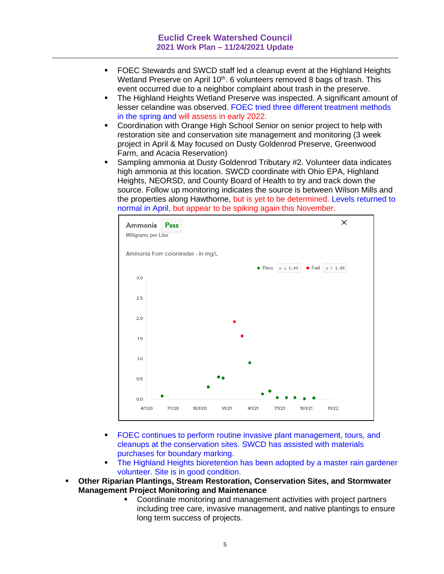- FOEC Stewards and SWCD staff led a cleanup event at the Highland Heights Wetland Preserve on April 10<sup>th</sup>. 6 volunteers removed 8 bags of trash. This event occurred due to a neighbor complaint about trash in the preserve.
- The Highland Heights Wetland Preserve was inspected. A significant amount of lesser celandine was observed. FOEC tried three different treatment methods in the spring and will assess in early 2022.
- Coordination with Orange High School Senior on senior project to help with restoration site and conservation site management and monitoring (3 week project in April & May focused on Dusty Goldenrod Preserve, Greenwood Farm, and Acacia Reservation)
- Sampling ammonia at Dusty Goldenrod Tributary #2. Volunteer data indicates high ammonia at this location. SWCD coordinate with Ohio EPA, Highland Heights, NEORSD, and County Board of Health to try and track down the source. Follow up monitoring indicates the source is between Wilson Mills and the properties along Hawthorne, but is yet to be determined. Levels returned to normal in April, but appear to be spiking again this November.



- FOEC continues to perform routine invasive plant management, tours, and cleanups at the conservation sites. SWCD has assisted with materials purchases for boundary marking.
- The Highland Heights bioretention has been adopted by a master rain gardener volunteer. Site is in good condition.
- **Other Riparian Plantings, Stream Restoration, Conservation Sites, and Stormwater Management Project Monitoring and Maintenance**
	- Coordinate monitoring and management activities with project partners including tree care, invasive management, and native plantings to ensure long term success of projects.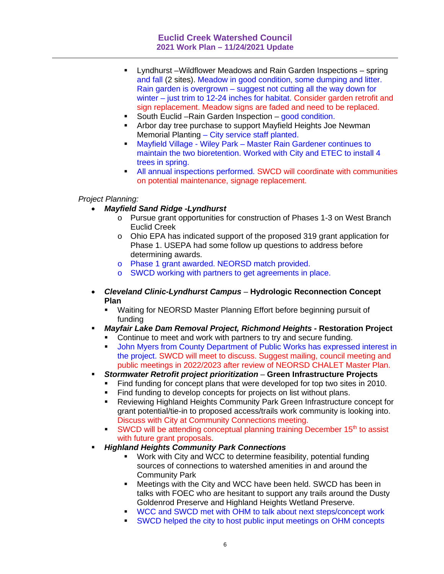- Lyndhurst –Wildflower Meadows and Rain Garden Inspections spring and fall (2 sites). Meadow in good condition, some dumping and litter. Rain garden is overgrown – suggest not cutting all the way down for winter – just trim to 12-24 inches for habitat. Consider garden retrofit and sign replacement. Meadow signs are faded and need to be replaced.
- South Euclid Rain Garden Inspection good condition.
- **EXT** Arbor day tree purchase to support Mayfield Heights Joe Newman Memorial Planting – City service staff planted.
- **Mayfield Village Wiley Park Master Rain Gardener continues to** maintain the two bioretention. Worked with City and ETEC to install 4 trees in spring.
- All annual inspections performed. SWCD will coordinate with communities on potential maintenance, signage replacement.

## *Project Planning:*

- *Mayfield Sand Ridge -Lyndhurst*
	- o Pursue grant opportunities for construction of Phases 1-3 on West Branch Euclid Creek
	- $\circ$  Ohio EPA has indicated support of the proposed 319 grant application for Phase 1. USEPA had some follow up questions to address before determining awards.
	- o Phase 1 grant awarded. NEORSD match provided.
	- o SWCD working with partners to get agreements in place.
- *Cleveland Clinic-Lyndhurst Campus* **Hydrologic Reconnection Concept Plan**
	- Waiting for NEORSD Master Planning Effort before beginning pursuit of funding
- *Mayfair Lake Dam Removal Project, Richmond Heights -* **Restoration Project**
	- Continue to meet and work with partners to try and secure funding.
	- **John Myers from County Department of Public Works has expressed interest in** the project. SWCD will meet to discuss. Suggest mailing, council meeting and public meetings in 2022/2023 after review of NEORSD CHALET Master Plan.
- *Stormwater Retrofit project prioritization* **Green Infrastructure Projects**
	- Find funding for concept plans that were developed for top two sites in 2010.
	- Find funding to develop concepts for projects on list without plans.
	- Reviewing Highland Heights Community Park Green Infrastructure concept for grant potential/tie-in to proposed access/trails work community is looking into. Discuss with City at Community Connections meeting.
	- SWCD will be attending conceptual planning training December  $15<sup>th</sup>$  to assist with future grant proposals.
- *Highland Heights Community Park Connections*
	- Work with City and WCC to determine feasibility, potential funding sources of connections to watershed amenities in and around the Community Park
	- Meetings with the City and WCC have been held. SWCD has been in talks with FOEC who are hesitant to support any trails around the Dusty Goldenrod Preserve and Highland Heights Wetland Preserve.
	- WCC and SWCD met with OHM to talk about next steps/concept work
	- SWCD helped the city to host public input meetings on OHM concepts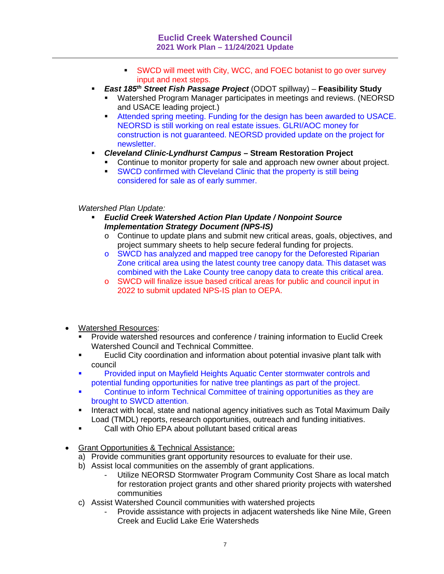- SWCD will meet with City, WCC, and FOEC botanist to go over survey input and next steps.
- *East 185th Street Fish Passage Project* (ODOT spillway) **Feasibility Study**
	- Watershed Program Manager participates in meetings and reviews. (NEORSD and USACE leading project.)
	- Attended spring meeting. Funding for the design has been awarded to USACE. NEORSD is still working on real estate issues. GLRI/AOC money for construction is not guaranteed. NEORSD provided update on the project for newsletter.
- *Cleveland Clinic-Lyndhurst Campus*  **Stream Restoration Project**
	- **Continue to monitor property for sale and approach new owner about project.**
	- **SWCD confirmed with Cleveland Clinic that the property is still being** considered for sale as of early summer.

*Watershed Plan Update:*

- *Euclid Creek Watershed Action Plan Update / Nonpoint Source Implementation Strategy Document (NPS-IS)*
	- o Continue to update plans and submit new critical areas, goals, objectives, and project summary sheets to help secure federal funding for projects.
	- o SWCD has analyzed and mapped tree canopy for the Deforested Riparian Zone critical area using the latest county tree canopy data. This dataset was combined with the Lake County tree canopy data to create this critical area.
	- o SWCD will finalize issue based critical areas for public and council input in 2022 to submit updated NPS-IS plan to OEPA.
- Watershed Resources:
	- Provide watershed resources and conference / training information to Euclid Creek Watershed Council and Technical Committee.
	- Euclid City coordination and information about potential invasive plant talk with council
	- **Provided input on Mayfield Heights Aquatic Center stormwater controls and** potential funding opportunities for native tree plantings as part of the project.
	- Continue to inform Technical Committee of training opportunities as they are brought to SWCD attention.
	- **Interact with local, state and national agency initiatives such as Total Maximum Daily** Load (TMDL) reports, research opportunities, outreach and funding initiatives.
	- Call with Ohio EPA about pollutant based critical areas
- Grant Opportunities & Technical Assistance:
	- a) Provide communities grant opportunity resources to evaluate for their use.
	- b) Assist local communities on the assembly of grant applications.
		- Utilize NEORSD Stormwater Program Community Cost Share as local match for restoration project grants and other shared priority projects with watershed communities
	- c) Assist Watershed Council communities with watershed projects
		- Provide assistance with projects in adjacent watersheds like Nine Mile, Green Creek and Euclid Lake Erie Watersheds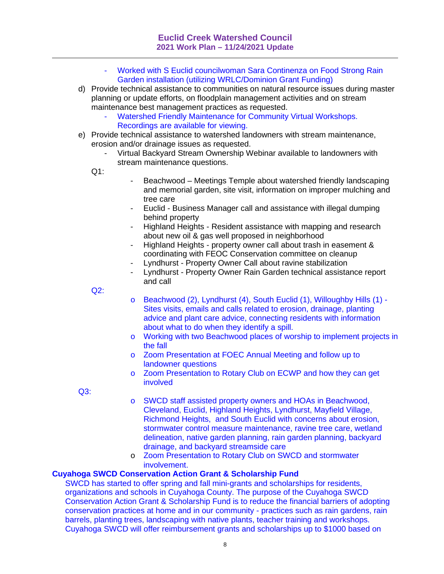- Worked with S Euclid councilwoman Sara Continenza on Food Strong Rain Garden installation (utilizing WRLC/Dominion Grant Funding)
- d) Provide technical assistance to communities on natural resource issues during master planning or update efforts, on floodplain management activities and on stream maintenance best management practices as requested.
	- Watershed Friendly Maintenance for Community Virtual Workshops. Recordings are available for viewing.
- e) Provide technical assistance to watershed landowners with stream maintenance, erosion and/or drainage issues as requested.
	- Virtual Backyard Stream Ownership Webinar available to landowners with stream maintenance questions.

Q1:

- Beachwood Meetings Temple about watershed friendly landscaping and memorial garden, site visit, information on improper mulching and tree care
- Euclid Business Manager call and assistance with illegal dumping behind property
- Highland Heights Resident assistance with mapping and research about new oil & gas well proposed in neighborhood
- Highland Heights property owner call about trash in easement & coordinating with FEOC Conservation committee on cleanup
- Lyndhurst Property Owner Call about ravine stabilization
- Lyndhurst Property Owner Rain Garden technical assistance report and call

Q2:

- o Beachwood (2), Lyndhurst (4), South Euclid (1), Willoughby Hills (1) Sites visits, emails and calls related to erosion, drainage, planting advice and plant care advice, connecting residents with information about what to do when they identify a spill.
- o Working with two Beachwood places of worship to implement projects in the fall
- o Zoom Presentation at FOEC Annual Meeting and follow up to landowner questions
- o Zoom Presentation to Rotary Club on ECWP and how they can get involved

Q3:

- o SWCD staff assisted property owners and HOAs in Beachwood, Cleveland, Euclid, Highland Heights, Lyndhurst, Mayfield Village, Richmond Heights, and South Euclid with concerns about erosion, stormwater control measure maintenance, ravine tree care, wetland delineation, native garden planning, rain garden planning, backyard drainage, and backyard streamside care
- o Zoom Presentation to Rotary Club on SWCD and stormwater involvement.

## **Cuyahoga SWCD Conservation Action Grant & Scholarship Fund**

SWCD has started to offer spring and fall mini-grants and scholarships for residents, organizations and schools in Cuyahoga County. The purpose of the Cuyahoga SWCD Conservation Action Grant & Scholarship Fund is to reduce the financial barriers of adopting conservation practices at home and in our community - practices such as rain gardens, rain barrels, planting trees, landscaping with native plants, teacher training and workshops. Cuyahoga SWCD will offer reimbursement grants and scholarships up to \$1000 based on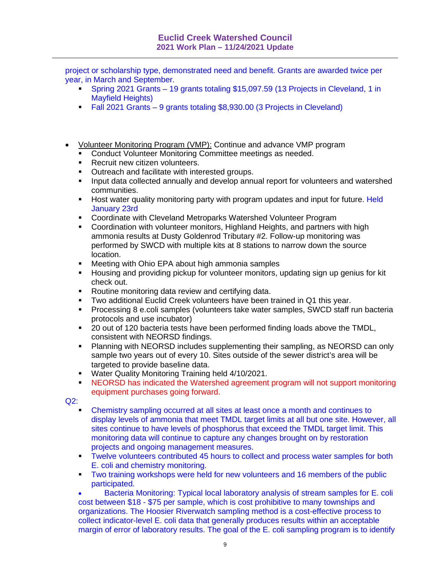project or scholarship type, demonstrated need and benefit. Grants are awarded twice per year, in March and September.

- Spring 2021 Grants 19 grants totaling \$15,097.59 (13 Projects in Cleveland, 1 in Mayfield Heights)
- Fall 2021 Grants 9 grants totaling \$8,930.00 (3 Projects in Cleveland)
- Volunteer Monitoring Program (VMP): Continue and advance VMP program
	- **Conduct Volunteer Monitoring Committee meetings as needed.**
	- **Recruit new citizen volunteers.**
	- **Outreach and facilitate with interested groups.**
	- **Input data collected annually and develop annual report for volunteers and watershed** communities.
	- Host water quality monitoring party with program updates and input for future. Held January 23rd
	- **-** Coordinate with Cleveland Metroparks Watershed Volunteer Program
	- **Coordination with volunteer monitors, Highland Heights, and partners with high** ammonia results at Dusty Goldenrod Tributary #2. Follow-up monitoring was performed by SWCD with multiple kits at 8 stations to narrow down the source location.
	- **Meeting with Ohio EPA about high ammonia samples**
	- Housing and providing pickup for volunteer monitors, updating sign up genius for kit check out.
	- **Routine monitoring data review and certifying data.**
	- Two additional Euclid Creek volunteers have been trained in Q1 this year.
	- **Processing 8 e.coli samples (volunteers take water samples, SWCD staff run bacteria** protocols and use incubator)
	- 20 out of 120 bacteria tests have been performed finding loads above the TMDL, consistent with NEORSD findings.
	- **Planning with NEORSD includes supplementing their sampling, as NEORSD can only** sample two years out of every 10. Sites outside of the sewer district's area will be targeted to provide baseline data.
	- **Water Quality Monitoring Training held 4/10/2021.**
	- In NEORSD has indicated the Watershed agreement program will not support monitoring equipment purchases going forward.

Q2:

- Chemistry sampling occurred at all sites at least once a month and continues to display levels of ammonia that meet TMDL target limits at all but one site. However, all sites continue to have levels of phosphorus that exceed the TMDL target limit. This monitoring data will continue to capture any changes brought on by restoration projects and ongoing management measures.
- Twelve volunteers contributed 45 hours to collect and process water samples for both E. coli and chemistry monitoring.
- **Two training workshops were held for new volunteers and 16 members of the public** participated.

 Bacteria Monitoring: Typical local laboratory analysis of stream samples for E. coli cost between \$18 - \$75 per sample, which is cost prohibitive to many townships and organizations. The Hoosier Riverwatch sampling method is a cost-effective process to collect indicator-level E. coli data that generally produces results within an acceptable margin of error of laboratory results. The goal of the E. coli sampling program is to identify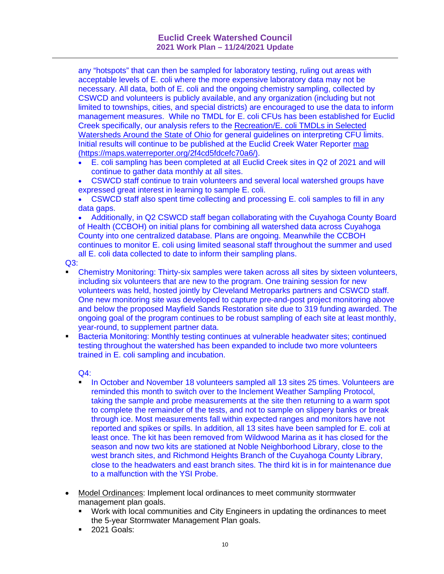any "hotspots" that can then be sampled for laboratory testing, ruling out areas with acceptable levels of E. coli where the more expensive laboratory data may not be necessary. All data, both of E. coli and the ongoing chemistry sampling, collected by CSWCD and volunteers is publicly available, and any organization (including but not limited to townships, cities, and special districts) are encouraged to use the data to inform management measures. While no TMDL for E. coli CFUs has been established for Euclid Creek specifically, our analysis refers to the Recreation/E. coli TMDLs in Selected Watersheds Around the State of Ohio for general guidelines on interpreting CFU limits. Initial results will continue to be published at the Euclid Creek Water Reporter map (https://maps.waterreporter.org/2f4cd5fdcefc70a6/).

- E. coli sampling has been completed at all Euclid Creek sites in Q2 of 2021 and will continue to gather data monthly at all sites.
- CSWCD staff continue to train volunteers and several local watershed groups have expressed great interest in learning to sample E. coli.
- CSWCD staff also spent time collecting and processing E. coli samples to fill in any data gaps.

 Additionally, in Q2 CSWCD staff began collaborating with the Cuyahoga County Board of Health (CCBOH) on initial plans for combining all watershed data across Cuyahoga County into one centralized database. Plans are ongoing. Meanwhile the CCBOH continues to monitor E. coli using limited seasonal staff throughout the summer and used all E. coli data collected to date to inform their sampling plans.

 $Q3$ :

- Chemistry Monitoring: Thirty-six samples were taken across all sites by sixteen volunteers, including six volunteers that are new to the program. One training session for new volunteers was held, hosted jointly by Cleveland Metroparks partners and CSWCD staff. One new monitoring site was developed to capture pre-and-post project monitoring above and below the proposed Mayfield Sands Restoration site due to 319 funding awarded. The ongoing goal of the program continues to be robust sampling of each site at least monthly, year-round, to supplement partner data.
- **Bacteria Monitoring: Monthly testing continues at vulnerable headwater sites; continued** testing throughout the watershed has been expanded to include two more volunteers trained in E. coli sampling and incubation.

 $Q4$ :

- In October and November 18 volunteers sampled all 13 sites 25 times. Volunteers are reminded this month to switch over to the Inclement Weather Sampling Protocol, taking the sample and probe measurements at the site then returning to a warm spot to complete the remainder of the tests, and not to sample on slippery banks or break through ice. Most measurements fall within expected ranges and monitors have not reported and spikes or spills. In addition, all 13 sites have been sampled for E. coli at least once. The kit has been removed from Wildwood Marina as it has closed for the season and now two kits are stationed at Noble Neighborhood Library, close to the west branch sites, and Richmond Heights Branch of the Cuyahoga County Library, close to the headwaters and east branch sites. The third kit is in for maintenance due to a malfunction with the YSI Probe.
- Model Ordinances: Implement local ordinances to meet community stormwater management plan goals.
	- Work with local communities and City Engineers in updating the ordinances to meet the 5-year Stormwater Management Plan goals.
	- **2021 Goals:**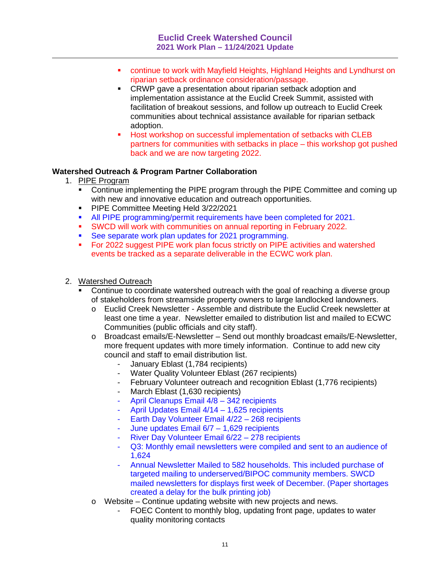- continue to work with Mayfield Heights, Highland Heights and Lyndhurst on riparian setback ordinance consideration/passage.
- CRWP gave a presentation about riparian setback adoption and implementation assistance at the Euclid Creek Summit, assisted with facilitation of breakout sessions, and follow up outreach to Euclid Creek communities about technical assistance available for riparian setback adoption.
- Host workshop on successful implementation of setbacks with CLEB partners for communities with setbacks in place – this workshop got pushed back and we are now targeting 2022.

## **Watershed Outreach & Program Partner Collaboration**

- 1. PIPE Program
	- Continue implementing the PIPE program through the PIPE Committee and coming up with new and innovative education and outreach opportunities.
	- **PIPE Committee Meeting Held 3/22/2021**
	- All PIPE programming/permit requirements have been completed for 2021.
	- SWCD will work with communities on annual reporting in February 2022.
	- See separate work plan updates for 2021 programming.
	- For 2022 suggest PIPE work plan focus strictly on PIPE activities and watershed events be tracked as a separate deliverable in the ECWC work plan.

#### 2. Watershed Outreach

- Continue to coordinate watershed outreach with the goal of reaching a diverse group of stakeholders from streamside property owners to large landlocked landowners.
	- o Euclid Creek Newsletter Assemble and distribute the Euclid Creek newsletter at least one time a year. Newsletter emailed to distribution list and mailed to ECWC Communities (public officials and city staff).
	- o Broadcast emails/E-Newsletter Send out monthly broadcast emails/E-Newsletter, more frequent updates with more timely information. Continue to add new city council and staff to email distribution list.
		- January Eblast (1,784 recipients)
		- Water Quality Volunteer Eblast (267 recipients)
		- February Volunteer outreach and recognition Eblast (1,776 recipients)
		- March Eblast (1,630 recipients)
		- April Cleanups Email  $4/8 342$  recipients
		- April Updates Email 4/14 1,625 recipients
		- Earth Day Volunteer Email 4/22 268 recipients
		- June updates Email  $6/7 1,629$  recipients
		- River Day Volunteer Email 6/22 278 recipients
		- Q3: Monthly email newsletters were compiled and sent to an audience of 1,624
		- Annual Newsletter Mailed to 582 households. This included purchase of targeted mailing to underserved/BIPOC community members. SWCD mailed newsletters for displays first week of December. (Paper shortages created a delay for the bulk printing job)
	- o Website Continue updating website with new projects and news.
		- FOEC Content to monthly blog, updating front page, updates to water quality monitoring contacts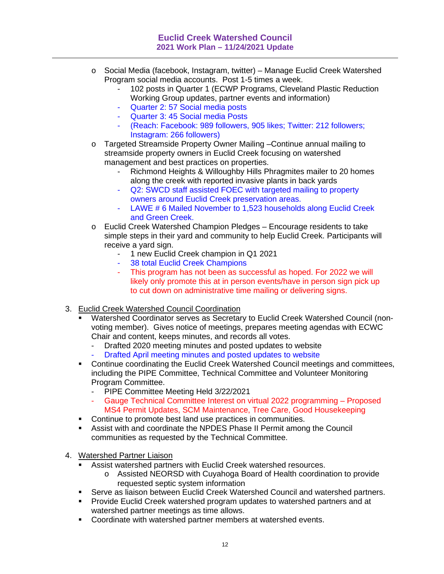- o Social Media (facebook, Instagram, twitter) Manage Euclid Creek Watershed Program social media accounts. Post 1-5 times a week.
	- 102 posts in Quarter 1 (ECWP Programs, Cleveland Plastic Reduction Working Group updates, partner events and information)
	- Quarter 2: 57 Social media posts
	- Quarter 3: 45 Social media Posts
	- (Reach: Facebook: 989 followers, 905 likes; Twitter: 212 followers; Instagram: 266 followers)
- o Targeted Streamside Property Owner Mailing –Continue annual mailing to streamside property owners in Euclid Creek focusing on watershed management and best practices on properties.
	- Richmond Heights & Willoughby Hills Phragmites mailer to 20 homes along the creek with reported invasive plants in back yards
	- Q2: SWCD staff assisted FOEC with targeted mailing to property owners around Euclid Creek preservation areas.
	- LAWE # 6 Mailed November to 1,523 households along Euclid Creek and Green Creek.
- o Euclid Creek Watershed Champion Pledges Encourage residents to take simple steps in their yard and community to help Euclid Creek. Participants will receive a yard sign.
	- 1 new Euclid Creek champion in Q1 2021
	- 38 total Euclid Creek Champions
	- This program has not been as successful as hoped. For 2022 we will likely only promote this at in person events/have in person sign pick up to cut down on administrative time mailing or delivering signs.
- 3. Euclid Creek Watershed Council Coordination
	- Watershed Coordinator serves as Secretary to Euclid Creek Watershed Council (nonvoting member). Gives notice of meetings, prepares meeting agendas with ECWC Chair and content, keeps minutes, and records all votes.
		- Drafted 2020 meeting minutes and posted updates to website
		- Drafted April meeting minutes and posted updates to website
	- Continue coordinating the Euclid Creek Watershed Council meetings and committees, including the PIPE Committee, Technical Committee and Volunteer Monitoring Program Committee.
		- PIPE Committee Meeting Held 3/22/2021
		- Gauge Technical Committee Interest on virtual 2022 programming Proposed MS4 Permit Updates, SCM Maintenance, Tree Care, Good Housekeeping
	- **Continue to promote best land use practices in communities.**
	- Assist with and coordinate the NPDES Phase II Permit among the Council communities as requested by the Technical Committee.
- 4. Watershed Partner Liaison
	- Assist watershed partners with Euclid Creek watershed resources.
		- o Assisted NEORSD with Cuyahoga Board of Health coordination to provide requested septic system information
	- Serve as liaison between Euclid Creek Watershed Council and watershed partners.
	- **Provide Euclid Creek watershed program updates to watershed partners and at** watershed partner meetings as time allows.
	- **Coordinate with watershed partner members at watershed events.**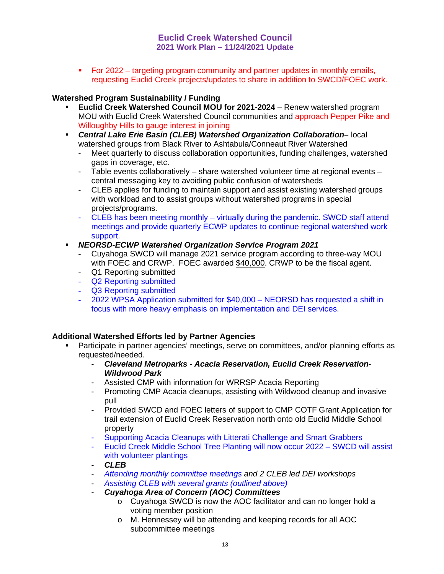For 2022 – targeting program community and partner updates in monthly emails, requesting Euclid Creek projects/updates to share in addition to SWCD/FOEC work.

# **Watershed Program Sustainability / Funding**

- **Euclid Creek Watershed Council MOU for 2021-2024** Renew watershed program MOU with Euclid Creek Watershed Council communities and approach Pepper Pike and Willoughby Hills to gauge interest in joining
- *Central Lake Erie Basin (CLEB) Watershed Organization Collaboration–* local watershed groups from Black River to Ashtabula/Conneaut River Watershed
	- Meet quarterly to discuss collaboration opportunities, funding challenges, watershed gaps in coverage, etc.
	- Table events collaboratively share watershed volunteer time at regional events central messaging key to avoiding public confusion of watersheds
	- CLEB applies for funding to maintain support and assist existing watershed groups with workload and to assist groups without watershed programs in special projects/programs.
	- CLEB has been meeting monthly virtually during the pandemic. SWCD staff attend meetings and provide quarterly ECWP updates to continue regional watershed work support.

## *NEORSD-ECWP Watershed Organization Service Program 2021*

- Cuyahoga SWCD will manage 2021 service program according to three-way MOU with FOEC and CRWP. FOEC awarded \$40,000. CRWP to be the fiscal agent.
- Q1 Reporting submitted
- Q2 Reporting submitted
- Q3 Reporting submitted
- 2022 WPSA Application submitted for \$40,000 NEORSD has requested a shift in focus with more heavy emphasis on implementation and DEI services.

# **Additional Watershed Efforts led by Partner Agencies**

- Participate in partner agencies' meetings, serve on committees, and/or planning efforts as requested/needed.
	- *Cleveland Metroparks Acacia Reservation, Euclid Creek Reservation-Wildwood Park*
	- Assisted CMP with information for WRRSP Acacia Reporting
	- Promoting CMP Acacia cleanups, assisting with Wildwood cleanup and invasive pull
	- Provided SWCD and FOEC letters of support to CMP COTF Grant Application for trail extension of Euclid Creek Reservation north onto old Euclid Middle School property
	- Supporting Acacia Cleanups with Litterati Challenge and Smart Grabbers
	- Euclid Creek Middle School Tree Planting will now occur 2022 SWCD will assist with volunteer plantings
	- *CLEB*
	- *Attending monthly committee meetings and 2 CLEB led DEI workshops*
	- *Assisting CLEB with several grants (outlined above)*
	- *Cuyahoga Area of Concern (AOC) Committees*
		- o Cuyahoga SWCD is now the AOC facilitator and can no longer hold a voting member position
		- o M. Hennessey will be attending and keeping records for all AOC subcommittee meetings